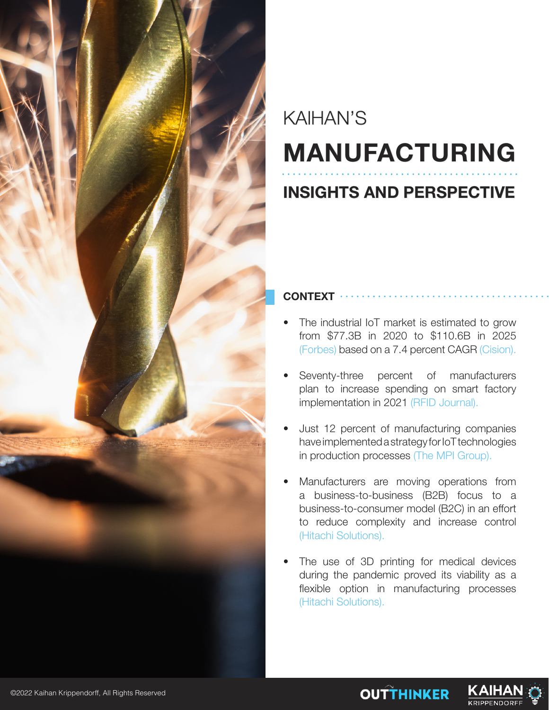

# KAIHAN'S **MANUFACTURING**

### **INSIGHTS AND PERSPECTIVE**

#### **CONTEXT**

- The industrial IoT market is estimated to grow from \$77.3B in 2020 to \$110.6B in 2025 (Forbes) based on a 7.4 percent CAGR (Cision).
- Seventy-three percent of manufacturers plan to increase spending on smart factory implementation in 2021 (RFID Journal).
- Just 12 percent of manufacturing companies have implemented a strategy for IoT technologies in production processes (The MPI Group).
- Manufacturers are moving operations from a business-to-business (B2B) focus to a business-to-consumer model (B2C) in an effort to reduce complexity and increase control (Hitachi Solutions).
- The use of 3D printing for medical devices during the pandemic proved its viability as a flexible option in manufacturing processes (Hitachi Solutions).

**OUTTHINKER** 

KAIHA

**KRIPPENDORF**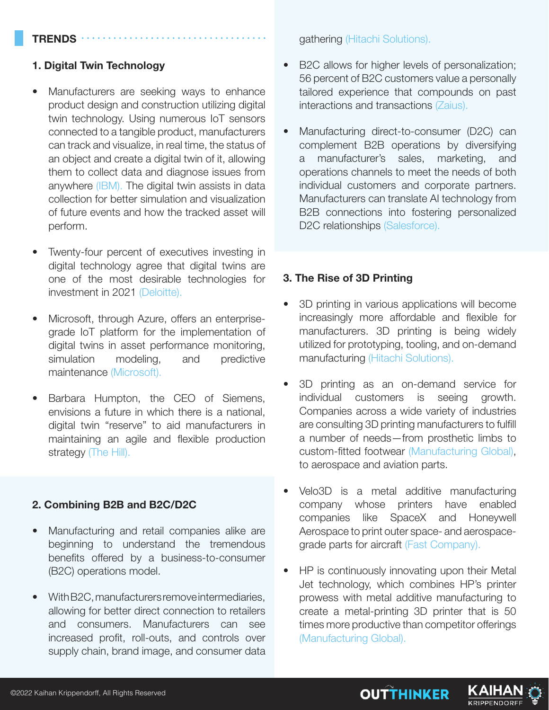#### **TRENDS**

#### **1. Digital Twin Technology**

- Manufacturers are seeking ways to enhance product design and construction utilizing digital twin technology. Using numerous IoT sensors connected to a tangible product, manufacturers can track and visualize, in real time, the status of an object and create a digital twin of it, allowing them to collect data and diagnose issues from anywhere (IBM). The digital twin assists in data collection for better simulation and visualization of future events and how the tracked asset will perform.
- Twenty-four percent of executives investing in digital technology agree that digital twins are one of the most desirable technologies for investment in 2021 (Deloitte).
- Microsoft, through Azure, offers an enterprisegrade IoT platform for the implementation of digital twins in asset performance monitoring, simulation modeling, and predictive maintenance (Microsoft).
- Barbara Humpton, the CEO of Siemens, envisions a future in which there is a national, digital twin "reserve" to aid manufacturers in maintaining an agile and flexible production strategy (The Hill).

#### **2. Combining B2B and B2C/D2C**

- Manufacturing and retail companies alike are beginning to understand the tremendous benefits offered by a business-to-consumer (B2C) operations model.
- With B2C, manufacturers remove intermediaries, allowing for better direct connection to retailers and consumers. Manufacturers can see increased profit, roll-outs, and controls over supply chain, brand image, and consumer data

gathering (Hitachi Solutions).

- B2C allows for higher levels of personalization; 56 percent of B2C customers value a personally tailored experience that compounds on past interactions and transactions (Zaius).
- Manufacturing direct-to-consumer (D2C) can complement B2B operations by diversifying a manufacturer's sales, marketing, and operations channels to meet the needs of both individual customers and corporate partners. Manufacturers can translate AI technology from B2B connections into fostering personalized D2C relationships (Salesforce).

#### **3. The Rise of 3D Printing**

- 3D printing in various applications will become increasingly more affordable and flexible for manufacturers. 3D printing is being widely utilized for prototyping, tooling, and on-demand manufacturing (Hitachi Solutions).
- 3D printing as an on-demand service for individual customers is seeing growth. Companies across a wide variety of industries are consulting 3D printing manufacturers to fulfill a number of needs—from prosthetic limbs to custom-fitted footwear (Manufacturing Global), to aerospace and aviation parts.
- Velo3D is a metal additive manufacturing company whose printers have enabled companies like SpaceX and Honeywell Aerospace to print outer space- and aerospacegrade parts for aircraft (Fast Company).
- HP is continuously innovating upon their Metal Jet technology, which combines HP's printer prowess with metal additive manufacturing to create a metal-printing 3D printer that is 50 times more productive than competitor offerings (Manufacturing Global).

**OUTTHINKER** 

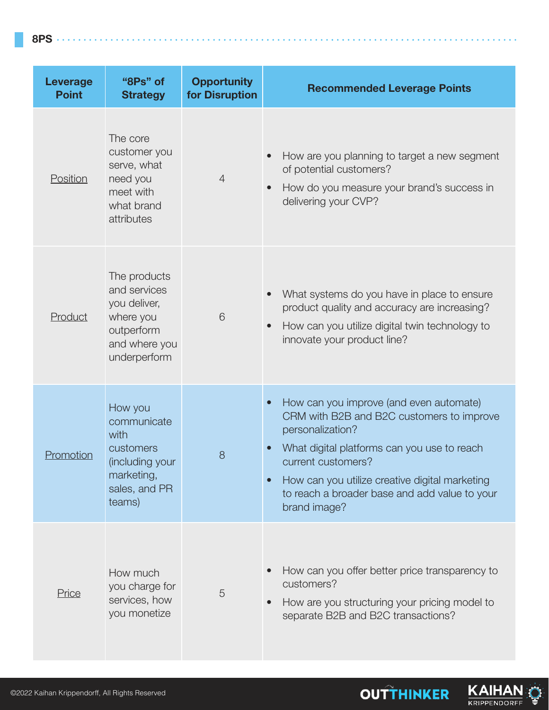**8PS**

| <b>Leverage</b><br><b>Point</b> | "8Ps" of<br><b>Strategy</b>                                                                              | <b>Opportunity</b><br>for Disruption | <b>Recommended Leverage Points</b>                                                                                                                                                                                                                                                                            |
|---------------------------------|----------------------------------------------------------------------------------------------------------|--------------------------------------|---------------------------------------------------------------------------------------------------------------------------------------------------------------------------------------------------------------------------------------------------------------------------------------------------------------|
| Position                        | The core<br>customer you<br>serve, what<br>need you<br>meet with<br>what brand<br>attributes             | $\overline{4}$                       | How are you planning to target a new segment<br>of potential customers?<br>How do you measure your brand's success in<br>delivering your CVP?                                                                                                                                                                 |
| Product                         | The products<br>and services<br>you deliver,<br>where you<br>outperform<br>and where you<br>underperform | 6                                    | What systems do you have in place to ensure<br>product quality and accuracy are increasing?<br>How can you utilize digital twin technology to<br>$\bullet$<br>innovate your product line?                                                                                                                     |
| Promotion                       | How you<br>communicate<br>with<br>customers<br>(including your<br>marketing,<br>sales, and PR<br>teams)  | 8                                    | How can you improve (and even automate)<br>$\bullet$<br>CRM with B2B and B2C customers to improve<br>personalization?<br>What digital platforms can you use to reach<br>current customers?<br>How can you utilize creative digital marketing<br>to reach a broader base and add value to your<br>brand image? |
| Price                           | How much<br>you charge for<br>services, how<br>you monetize                                              | 5                                    | How can you offer better price transparency to<br>customers?<br>How are you structuring your pricing model to<br>separate B2B and B2C transactions?                                                                                                                                                           |

KAIHAN

**OUTTHINKER**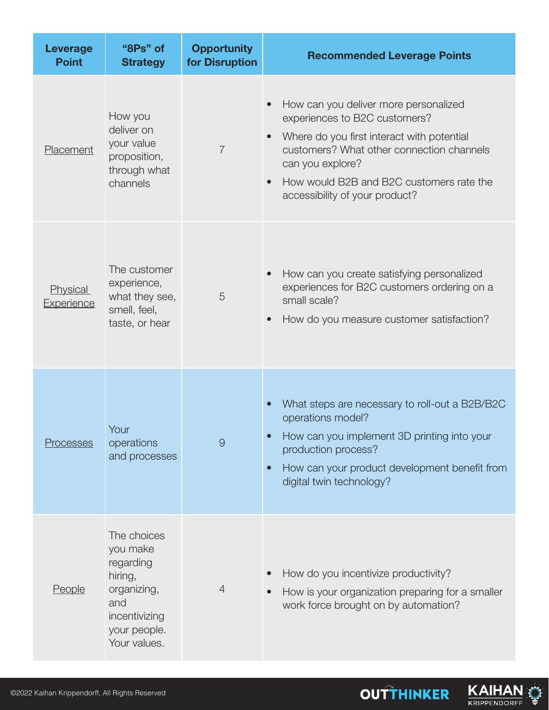| Leverage<br><b>Point</b> | "8Ps" of<br><b>Strategy</b>                                                                                            | <b>Opportunity</b><br>for Disruption | <b>Recommended Leverage Points</b>                                                                                                                                                                                                                                               |
|--------------------------|------------------------------------------------------------------------------------------------------------------------|--------------------------------------|----------------------------------------------------------------------------------------------------------------------------------------------------------------------------------------------------------------------------------------------------------------------------------|
| Placement                | How you<br>deliver on<br>your value<br>proposition,<br>through what<br>channels                                        | $\overline{7}$                       | How can you deliver more personalized<br>experiences to B2C customers?<br>Where do you first interact with potential<br>customers? What other connection channels<br>can you explore?<br>How would B2B and B2C customers rate the<br>$\bullet$<br>accessibility of your product? |
| Physical<br>Experience   | The customer<br>experience,<br>what they see,<br>smell, feel,<br>taste, or hear                                        | 5                                    | How can you create satisfying personalized<br>experiences for B2C customers ordering on a<br>small scale?<br>How do you measure customer satisfaction?<br>$\bullet$                                                                                                              |
| <b>Processes</b>         | Your<br>operations<br>and processes                                                                                    | $\Theta$                             | What steps are necessary to roll-out a B2B/B2C<br>operations model?<br>How can you implement 3D printing into your<br>production process?<br>How can your product development benefit from<br>$\bullet$<br>digital twin technology?                                              |
| <b>People</b>            | The choices<br>you make<br>regarding<br>hiring,<br>organizing,<br>and<br>incentivizing<br>your people.<br>Your values. | $\overline{4}$                       | How do you incentivize productivity?<br>How is your organization preparing for a smaller<br>$\bullet$<br>work force brought on by automation?                                                                                                                                    |